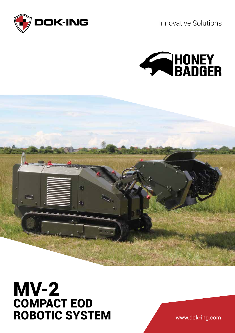

Innovative Solutions





## MV-2 COMPACT EOD ROBOTIC SYSTEM

www.dok-ing.com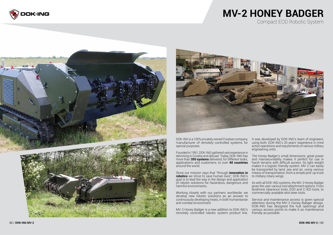### **MV-2 HONEY BADGER** Compact EOD Robotic System

Founded in 1991, DOK-ING gathered vast experience in demining in Croatia and abroad. Today, DOK-ING has more than **350 systems** delivered, for different tasks, applications and customers, to over **40 countries** around the world.

Since our mission says that "through **innovation in robotics** we strive to save human lives", DOK-ING's goal is to lead the way in the design and application of robotic solutions for hazardous, dangerous and harmful environments.









DOK-ING is a 100% privately owned Croatian company, manufacturer of remotely controlled systems for special purposes. It was developed by DOK-ING's team of engineers, using both, DOK-ING's 20 years' experience in mine action operations and requirements of various military engineering units.

Working closely with our partners worldwide, we develop new robotic solutions as an answer to continuously developing treats, in both humanitarian and combat environment.

The Honey Badger's small dimensions, great power and manoeuvrability makes it perfect for use in harsh terrains with difficult access. Its light weight makes it a logistic friendly system. MV-2 can easily be transported by land, sea and air, using various means of transportation, from a simple pick-up truck to military rotary wings.

MV-2 Honey Badger is a new addition to DOK-ING's remotely controlled robotic system product line. Service and maintenance access is given special attention during the MV-2 Honey Badger design. DOK-ING has designed the hull openings and various access points to make it as maintenance friendly as possible.

As with all DOK-ING systems, the MV-2 Honey Badger gives the user various tool attachment options. From landmine clearance tools, EOD and C-IED tools, to commercially available skid steer tools.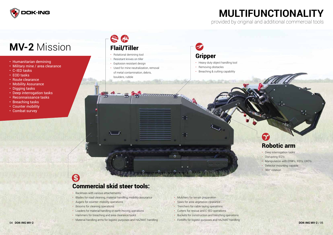

# **MV-2** Mission

### WATER CAR Flail/Tiller

- Humanitarian demining
- Military mine / area clearance
- C-IED tasks
- EOD tasks
- Route clearance
- Mobility Assurance
- Digging tasks
- Deep interrogation tasks
- Reconnaissance tasks
- Breaching tasks
- Counter mobility
- Combat survey

- Deep interrogation tasks
- Disrupting IED's
- Manipulation with ERW's, IED's, UXO's
- Detector mounting capable
- 360° rotation

### S Commercial skid steer tools:

- Rotational demining tool
- Resistant knives on tiller
- Explosion resistant design
- Used for mine neutralization, removal of metal contamination, debris, boulders, rubble



- Heavy duty object handling tool
- Removing obstacles
- Breaching & cutting capability



- Backhoes with various attachements
- Blades for road cleaning, material handling, mobility assurance
- Augers for counter-mobility operations
- Brooms for cleaning operations
- Loaders for material handling or earth moving operations
- Hammers for breaching and area clearance tasks
- Material handling arms for logistic purposes and HAZMAT handling
- Mulchers for terrain preparation
- Saws for area vegetation clearance
- Trenchers for cable laying operations
- Cutters for rescue and C-IED operations
- Buckets for construction and trenching operations
- Forklifts for logistic purposes and HAZMAT handling

### **MULTIFUNCTIONALITY**  provided by original and additional commercial tools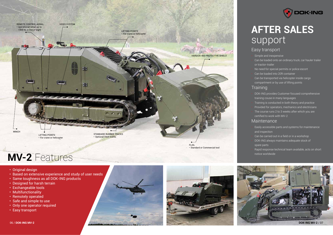









## **MV-2** Features **MV-2** Features

- Original design
- Based on extensive experience and study of user needs
- Same toughness as all DOK-ING products
- Designed for harsh terrain
- Exchangeable tools
- Multifunctionality
- Remotely operated
- Safe and simple to use
- Only one operator required
- Easy transport



# **AFTER SALES** support

#### Easy transport

- Simple and inexpensive
- Can be loaded onto an ordinary truck, car hauler trailer or tractor-trailer
- No need for special permits or police escort
- Can be loaded into 20ft container
- Can be transported via helicopter inside cargo compartment or by use of lifting points

#### **Training**

- DOK-ING provides Customer focused comprehensive training couse in many languages
- Training is conducted in both theory and practice
- Provided for operators, mechanics and electricians
- The course runs 2 to 3 weeks after which you are certified to work with MV-2

#### **Maintenance**

- Easily accessible parts and systems for maintenance and inspection
- Can be carried out in a field or in a workshop
- DOK-ING always maintains adequate stock of spare parts
- Rapid response technical team available, acts on short